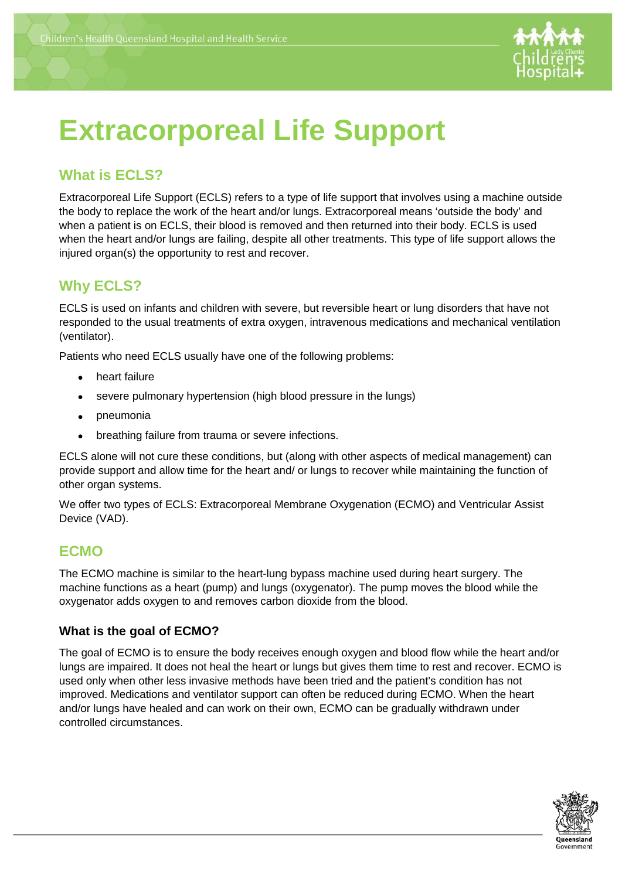

# **Extracorporeal Life Support**

## **What is ECLS?**

Extracorporeal Life Support (ECLS) refers to a type of life support that involves using a machine outside the body to replace the work of the heart and/or lungs. Extracorporeal means 'outside the body' and when a patient is on ECLS, their blood is removed and then returned into their body. ECLS is used when the heart and/or lungs are failing, despite all other treatments. This type of life support allows the injured organ(s) the opportunity to rest and recover.

## **Why ECLS?**

ECLS is used on infants and children with severe, but reversible heart or lung disorders that have not responded to the usual treatments of extra oxygen, intravenous medications and mechanical ventilation (ventilator).

Patients who need ECLS usually have one of the following problems:

- heart failure
- severe pulmonary hypertension (high blood pressure in the lungs)
- pneumonia
- breathing failure from trauma or severe infections.

ECLS alone will not cure these conditions, but (along with other aspects of medical management) can provide support and allow time for the heart and/ or lungs to recover while maintaining the function of other organ systems.

We offer two types of ECLS: Extracorporeal Membrane Oxygenation (ECMO) and Ventricular Assist Device (VAD).

#### **ECMO**

The ECMO machine is similar to the heart-lung bypass machine used during heart surgery. The machine functions as a heart (pump) and lungs (oxygenator). The pump moves the blood while the oxygenator adds oxygen to and removes carbon dioxide from the blood.

#### **What is the goal of ECMO?**

The goal of ECMO is to ensure the body receives enough oxygen and blood flow while the heart and/or lungs are impaired. It does not heal the heart or lungs but gives them time to rest and recover. ECMO is used only when other less invasive methods have been tried and the patient's condition has not improved. Medications and ventilator support can often be reduced during ECMO. When the heart and/or lungs have healed and can work on their own, ECMO can be gradually withdrawn under controlled circumstances.

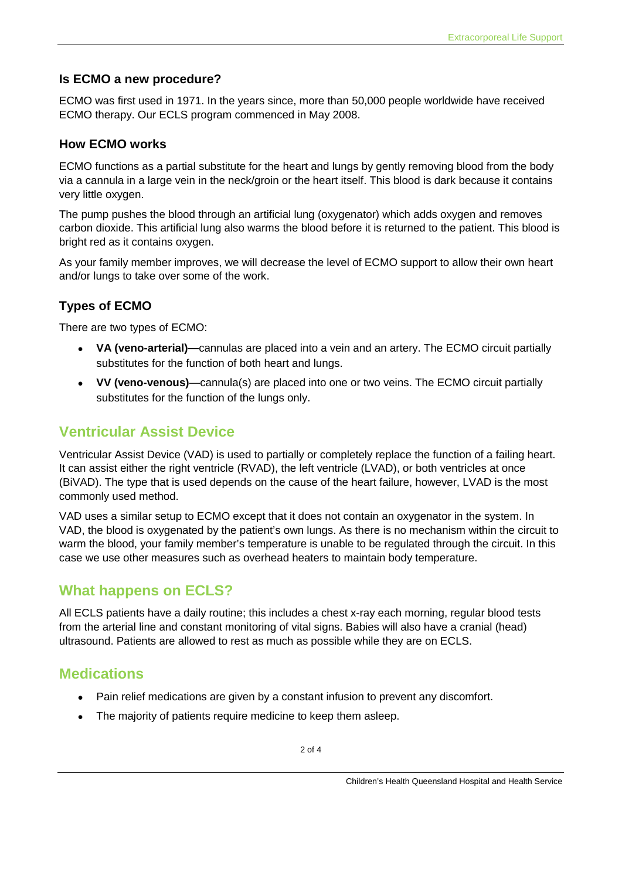#### **Is ECMO a new procedure?**

ECMO was first used in 1971. In the years since, more than 50,000 people worldwide have received ECMO therapy. Our ECLS program commenced in May 2008.

#### **How ECMO works**

ECMO functions as a partial substitute for the heart and lungs by gently removing blood from the body via a cannula in a large vein in the neck/groin or the heart itself. This blood is dark because it contains very little oxygen.

The pump pushes the blood through an artificial lung (oxygenator) which adds oxygen and removes carbon dioxide. This artificial lung also warms the blood before it is returned to the patient. This blood is bright red as it contains oxygen.

As your family member improves, we will decrease the level of ECMO support to allow their own heart and/or lungs to take over some of the work.

## **Types of ECMO**

There are two types of ECMO:

- **VA (veno-arterial)—**cannulas are placed into a vein and an artery. The ECMO circuit partially substitutes for the function of both heart and lungs.
- **VV (veno-venous)**—cannula(s) are placed into one or two veins. The ECMO circuit partially substitutes for the function of the lungs only.

## **Ventricular Assist Device**

Ventricular Assist Device (VAD) is used to partially or completely replace the function of a failing heart. It can assist either the right ventricle (RVAD), the left ventricle (LVAD), or both ventricles at once (BiVAD). The type that is used depends on the cause of the heart failure, however, LVAD is the most commonly used method.

VAD uses a similar setup to ECMO except that it does not contain an oxygenator in the system. In VAD, the blood is oxygenated by the patient's own lungs. As there is no mechanism within the circuit to warm the blood, your family member's temperature is unable to be regulated through the circuit. In this case we use other measures such as overhead heaters to maintain body temperature.

## **What happens on ECLS?**

All ECLS patients have a daily routine; this includes a chest x-ray each morning, regular blood tests from the arterial line and constant monitoring of vital signs. Babies will also have a cranial (head) ultrasound. Patients are allowed to rest as much as possible while they are on ECLS.

## **Medications**

- Pain relief medications are given by a constant infusion to prevent any discomfort.
- The majority of patients require medicine to keep them asleep.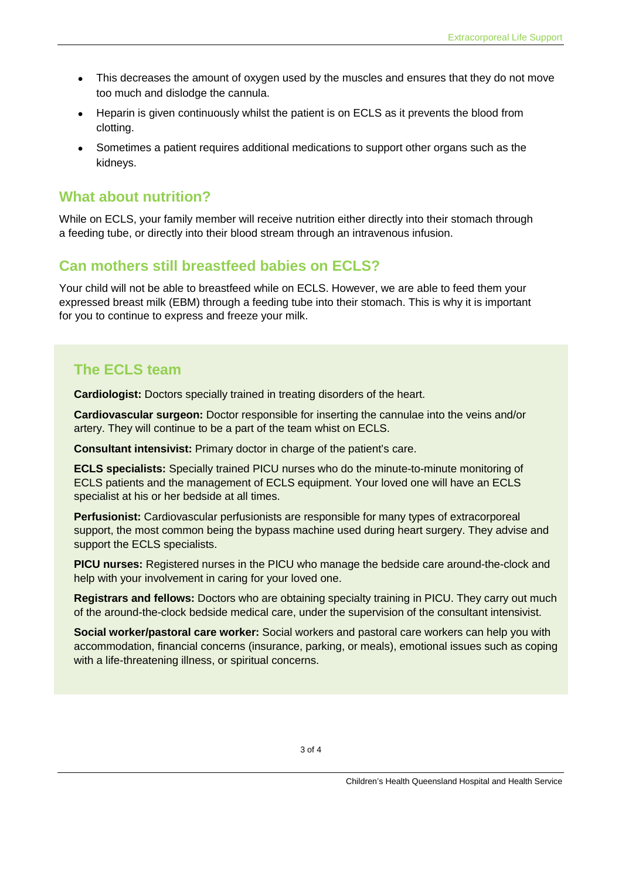- This decreases the amount of oxygen used by the muscles and ensures that they do not move too much and dislodge the cannula.
- Heparin is given continuously whilst the patient is on ECLS as it prevents the blood from clotting.
- Sometimes a patient requires additional medications to support other organs such as the kidneys.

#### **What about nutrition?**

While on ECLS, your family member will receive nutrition either directly into their stomach through a feeding tube, or directly into their blood stream through an intravenous infusion.

## **Can mothers still breastfeed babies on ECLS?**

Your child will not be able to breastfeed while on ECLS. However, we are able to feed them your expressed breast milk (EBM) through a feeding tube into their stomach. This is why it is important for you to continue to express and freeze your milk.

## **The ECLS team**

**Cardiologist:** Doctors specially trained in treating disorders of the heart.

**Cardiovascular surgeon:** Doctor responsible for inserting the cannulae into the veins and/or artery. They will continue to be a part of the team whist on ECLS.

**Consultant intensivist:** Primary doctor in charge of the patient's care.

**ECLS specialists:** Specially trained PICU nurses who do the minute-to-minute monitoring of ECLS patients and the management of ECLS equipment. Your loved one will have an ECLS specialist at his or her bedside at all times.

**Perfusionist:** Cardiovascular perfusionists are responsible for many types of extracorporeal support, the most common being the bypass machine used during heart surgery. They advise and support the ECLS specialists.

**PICU nurses:** Registered nurses in the PICU who manage the bedside care around-the-clock and help with your involvement in caring for your loved one.

**Registrars and fellows:** Doctors who are obtaining specialty training in PICU. They carry out much of the around-the-clock bedside medical care, under the supervision of the consultant intensivist.

**Social worker/pastoral care worker:** Social workers and pastoral care workers can help you with accommodation, financial concerns (insurance, parking, or meals), emotional issues such as coping with a life-threatening illness, or spiritual concerns.